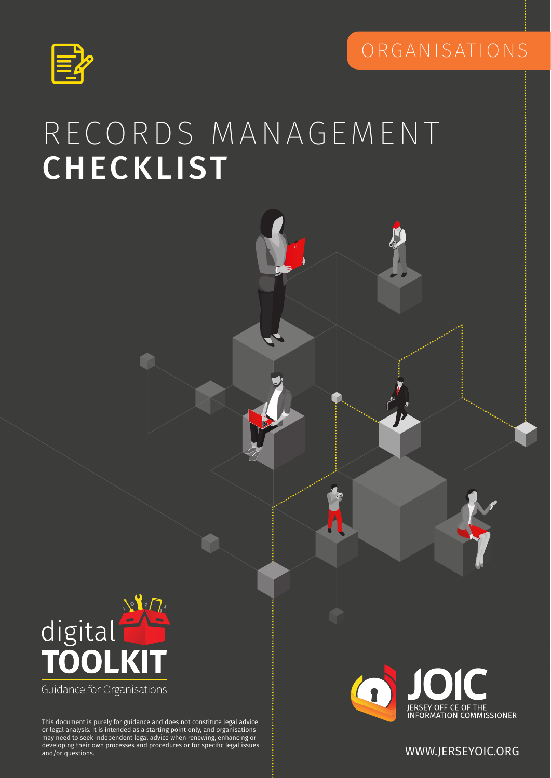



## RECORDS MANAGEMENT CHECKLIST



may need to seek independent legal advice when renewing, enhancing or<br>developing their own processes and procedures or for specific legal issues This document is purely for guidance and does not constitute legal advice or legal analysis. It is intended as a starting point only, and organisations developing their own processes and procedures or for specific legal issues and/or questions. WWW.JERSEYOIC.ORG

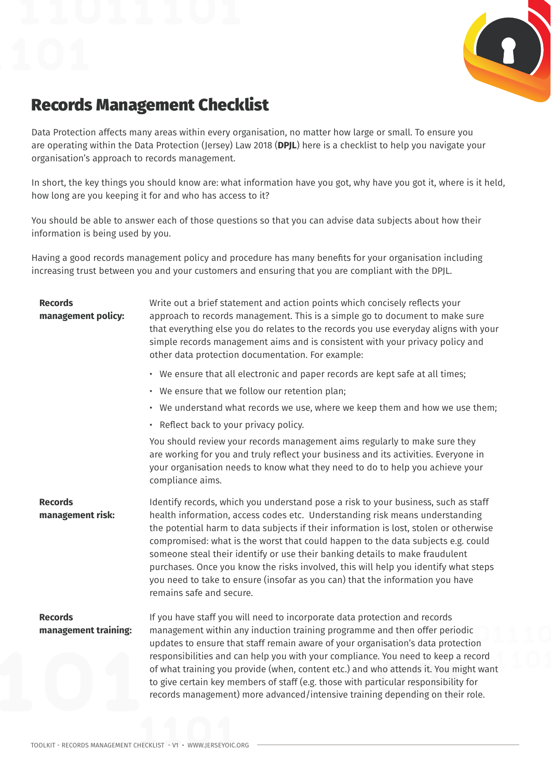

## Records Management Checklist

Data Protection affects many areas within every organisation, no matter how large or small. To ensure you are operating within the Data Protection (Jersey) Law 2018 (**DPJL**) here is a checklist to help you navigate your organisation's approach to records management.

In short, the key things you should know are: what information have you got, why have you got it, where is it held, how long are you keeping it for and who has access to it?

You should be able to answer each of those questions so that you can advise data subjects about how their information is being used by you.

Having a good records management policy and procedure has many benefits for your organisation including increasing trust between you and your customers and ensuring that you are compliant with the DPJL.

| <b>Records</b><br>management policy:   | Write out a brief statement and action points which concisely reflects your<br>approach to records management. This is a simple go to document to make sure<br>that everything else you do relates to the records you use everyday aligns with your<br>simple records management aims and is consistent with your privacy policy and<br>other data protection documentation. For example:                                                                                                                                                                                                                                           |
|----------------------------------------|-------------------------------------------------------------------------------------------------------------------------------------------------------------------------------------------------------------------------------------------------------------------------------------------------------------------------------------------------------------------------------------------------------------------------------------------------------------------------------------------------------------------------------------------------------------------------------------------------------------------------------------|
|                                        | • We ensure that all electronic and paper records are kept safe at all times;                                                                                                                                                                                                                                                                                                                                                                                                                                                                                                                                                       |
|                                        | • We ensure that we follow our retention plan;                                                                                                                                                                                                                                                                                                                                                                                                                                                                                                                                                                                      |
|                                        | • We understand what records we use, where we keep them and how we use them;                                                                                                                                                                                                                                                                                                                                                                                                                                                                                                                                                        |
|                                        | • Reflect back to your privacy policy.                                                                                                                                                                                                                                                                                                                                                                                                                                                                                                                                                                                              |
|                                        | You should review your records management aims regularly to make sure they<br>are working for you and truly reflect your business and its activities. Everyone in<br>your organisation needs to know what they need to do to help you achieve your<br>compliance aims.                                                                                                                                                                                                                                                                                                                                                              |
| <b>Records</b><br>management risk:     | Identify records, which you understand pose a risk to your business, such as staff<br>health information, access codes etc. Understanding risk means understanding<br>the potential harm to data subjects if their information is lost, stolen or otherwise<br>compromised: what is the worst that could happen to the data subjects e.g. could<br>someone steal their identify or use their banking details to make fraudulent<br>purchases. Once you know the risks involved, this will help you identify what steps<br>you need to take to ensure (insofar as you can) that the information you have<br>remains safe and secure. |
| <b>Records</b><br>management training: | If you have staff you will need to incorporate data protection and records<br>management within any induction training programme and then offer periodic<br>updates to ensure that staff remain aware of your organisation's data protection<br>responsibilities and can help you with your compliance. You need to keep a record<br>of what training you provide (when, content etc.) and who attends it. You might want<br>to give certain key members of staff (e.g. those with particular responsibility for<br>records management) more advanced/intensive training depending on their role.                                   |
|                                        |                                                                                                                                                                                                                                                                                                                                                                                                                                                                                                                                                                                                                                     |